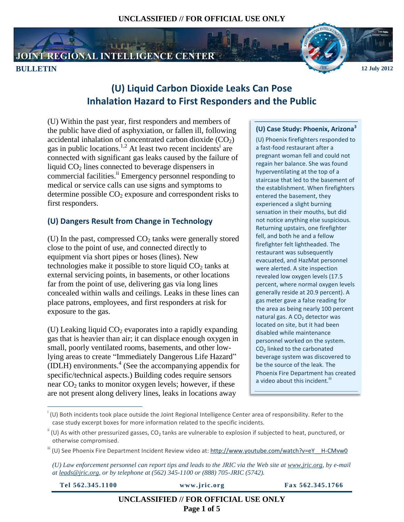# JOINT REGIONAL INTELLIGENCE CENTER



# **(U) Liquid Carbon Dioxide Leaks Can Pose Inhalation Hazard to First Responders and the Public**

(U) Within the past year, first responders and members of the public have died of asphyxiation, or fallen ill, following accidental inhalation of concentrated carbon dioxide  $(CO_2)$ gas in public locations.<sup>1,2</sup> At least two recent incidents<sup>i</sup> are connected with significant gas leaks caused by the failure of liquid  $CO<sub>2</sub>$  lines connected to beverage dispensers in commercial facilities.<sup>ii</sup> Emergency personnel responding to medical or service calls can use signs and symptoms to determine possible  $CO<sub>2</sub>$  exposure and correspondent risks to first responders.

# **(U) Dangers Result from Change in Technology**

(U) In the past, compressed  $CO<sub>2</sub>$  tanks were generally stored close to the point of use, and connected directly to equipment via short pipes or hoses (lines). New technologies make it possible to store liquid  $CO<sub>2</sub>$  tanks at external servicing points, in basements, or other locations far from the point of use, delivering gas via long lines concealed within walls and ceilings. Leaks in these lines can place patrons, employees, and first responders at risk for exposure to the gas.

(U) Leaking liquid  $CO<sub>2</sub>$  evaporates into a rapidly expanding gas that is heavier than air; it can displace enough oxygen in small, poorly ventilated rooms, basements, and other lowlying areas to create "Immediately Dangerous Life Hazard"  $(IDLH)$  environments.<sup>4</sup> (See the accompanying appendix for specific/technical aspects.) Building codes require sensors near  $CO<sub>2</sub>$  tanks to monitor oxygen levels; however, if these are not present along delivery lines, leaks in locations away

## **(U) Case Study: Phoenix, Arizona<sup>3</sup>**

(U) Phoenix firefighters responded to a fast-food restaurant after a pregnant woman fell and could not regain her balance. She was found hyperventilating at the top of a staircase that led to the basement of the establishment. When firefighters entered the basement, they experienced a slight burning sensation in their mouths, but did not notice anything else suspicious. Returning upstairs, one firefighter fell, and both he and a fellow firefighter felt lightheaded. The restaurant was subsequently evacuated, and HazMat personnel were alerted. A site inspection revealed low oxygen levels (17.5 percent, where normal oxygen levels generally reside at 20.9 percent). A gas meter gave a false reading for the area as being nearly 100 percent natural gas. A  $CO<sub>2</sub>$  detector was located on site, but it had been disabled while maintenance personnel worked on the system. CO<sub>2</sub> linked to the carbonated beverage system was discovered to be the source of the leak. The Phoenix Fire Department has created a video about this incident.<sup>iii</sup>

 $\overline{a}$ 

**Tel 562.345.1100 www.jric.org Fax 562.345.1766**

**UNCLASSIFIED // FOR OFFICIAL USE ONLY Page 1 of 5**

i (U) Both incidents took place outside the Joint Regional Intelligence Center area of responsibility. Refer to the case study excerpt boxes for more information related to the specific incidents.

 $\mathbf{u}^{\parallel}$  (U) As with other pressurized gasses, CO<sub>2</sub> tanks are vulnerable to explosion if subjected to heat, punctured, or otherwise compromised.

iii (U) See Phoenix Fire Department Incident Review video at: [http://www.youtube.com/watch?v=eY\\_\\_H-CMvw0](http://www.youtube.com/watch?v=eY__H-CMvw0)

*<sup>(</sup>U) Law enforcement personnel can report tips and leads to the JRIC via the Web site at [www.jric.org,](http://www.jric.org/) by e-mail a[t leads@jric.org,](mailto:leads@jric.org) or by telephone at (562) 345-1100 or (888) 705-JRIC (5742).*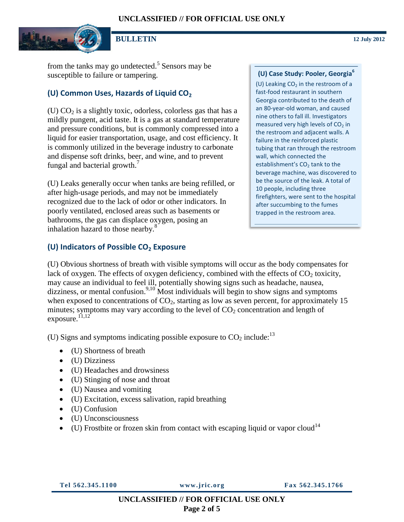

**BULLETIN 12 July 2012**

from the tanks may go undetected.<sup>5</sup> Sensors may be susceptible to failure or tampering.

#### **(U) Common Uses, Hazards of Liquid CO<sup>2</sup>**

(U)  $CO<sub>2</sub>$  is a slightly toxic, odorless, colorless gas that has a mildly pungent, acid taste. It is a gas at standard temperature and pressure conditions, but is commonly compressed into a liquid for easier transportation, usage, and cost efficiency. It is commonly utilized in the beverage industry to carbonate and dispense soft drinks, beer, and wine, and to prevent fungal and bacterial growth.<sup>7</sup>

(U) Leaks generally occur when tanks are being refilled, or after high-usage periods, and may not be immediately recognized due to the lack of odor or other indicators. In poorly ventilated, enclosed areas such as basements or bathrooms, the gas can displace oxygen, posing an inhalation hazard to those nearby.<sup>8</sup>

#### **(U) Indicators of Possible CO<sup>2</sup> Exposure**

#### **(U) Case Study: Pooler, Georgia<sup>6</sup>**

(U) Leaking  $CO<sub>2</sub>$  in the restroom of a fast-food restaurant in southern Georgia contributed to the death of an 80-year-old woman, and caused nine others to fall ill. Investigators measured very high levels of  $CO<sub>2</sub>$  in the restroom and adjacent walls. A failure in the reinforced plastic tubing that ran through the restroom wall, which connected the establishment's CO<sub>2</sub> tank to the beverage machine, was discovered to be the source of the leak. A total of 10 people, including three firefighters, were sent to the hospital after succumbing to the fumes trapped in the restroom area.

(U) Obvious shortness of breath with visible symptoms will occur as the body compensates for lack of oxygen. The effects of oxygen deficiency, combined with the effects of  $CO<sub>2</sub>$  toxicity, may cause an individual to feel ill, potentially showing signs such as headache, nausea, dizziness, or mental confusion.<sup>9,10</sup> Most individuals will begin to show signs and symptoms when exposed to concentrations of  $CO<sub>2</sub>$ , starting as low as seven percent, for approximately 15 minutes; symptoms may vary according to the level of  $CO<sub>2</sub>$  concentration and length of exposure.<sup>11,12</sup>

(U) Signs and symptoms indicating possible exposure to  $CO<sub>2</sub>$  include:<sup>13</sup>

- (U) Shortness of breath
- (U) Dizziness
- (U) Headaches and drowsiness
- (U) Stinging of nose and throat
- (U) Nausea and vomiting
- (U) Excitation, excess salivation, rapid breathing
- (U) Confusion
- (U) Unconsciousness
- $\bullet$  (U) Frostbite or frozen skin from contact with escaping liquid or vapor cloud<sup>14</sup>

**Tel 562.345.1100 www.jric.org Fax 562.345.1766**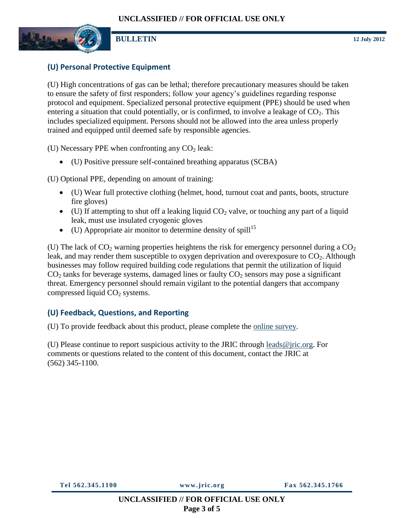

## **(U) Personal Protective Equipment**

(U) High concentrations of gas can be lethal; therefore precautionary measures should be taken to ensure the safety of first responders; follow your agency's guidelines regarding response protocol and equipment. Specialized personal protective equipment (PPE) should be used when entering a situation that could potentially, or is confirmed, to involve a leakage of  $CO<sub>2</sub>$ . This includes specialized equipment. Persons should not be allowed into the area unless properly trained and equipped until deemed safe by responsible agencies.

(U) Necessary PPE when confronting any  $CO<sub>2</sub>$  leak:

(U) Positive pressure self-contained breathing apparatus (SCBA)

(U) Optional PPE, depending on amount of training:

- (U) Wear full protective clothing (helmet, hood, turnout coat and pants, boots, structure fire gloves)
- $\bullet$  (U) If attempting to shut off a leaking liquid CO<sub>2</sub> valve, or touching any part of a liquid leak, must use insulated cryogenic gloves
- $\bullet$  (U) Appropriate air monitor to determine density of spill<sup>15</sup>

(U) The lack of  $CO<sub>2</sub>$  warning properties heightens the risk for emergency personnel during a  $CO<sub>2</sub>$ leak, and may render them susceptible to oxygen deprivation and overexposure to  $CO<sub>2</sub>$ . Although businesses may follow required building code regulations that permit the utilization of liquid  $CO<sub>2</sub>$  tanks for beverage systems, damaged lines or faulty  $CO<sub>2</sub>$  sensors may pose a significant threat. Emergency personnel should remain vigilant to the potential dangers that accompany compressed liquid  $CO<sub>2</sub>$  systems.

# **(U) Feedback, Questions, and Reporting**

(U) To provide feedback about this product, please complete the [online survey.](http://www.zoomerang.com/Survey/WEB22G8687ZPXW)

(U) Please continue to report suspicious activity to the JRIC through [leads@jric.org.](mailto:leads@jric.org) For comments or questions related to the content of this document, contact the JRIC at (562) 345-1100.

**Tel 562.345.1100 www.jric.org Fax 562.345.1766**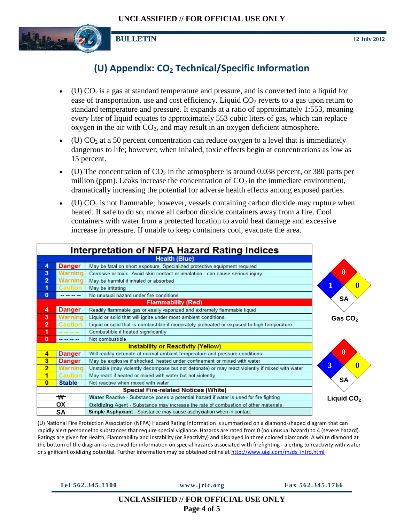

# **(U) Appendix: CO<sup>2</sup> Technical/Specific Information**

- (U)  $CO<sub>2</sub>$  is a gas at standard temperature and pressure, and is converted into a liquid for ease of transportation, use and cost efficiency. Liquid  $CO<sub>2</sub>$  reverts to a gas upon return to standard temperature and pressure. It expands at a ratio of approximately 1:553, meaning every liter of liquid equates to approximately 553 cubic liters of gas, which can replace oxygen in the air with  $CO<sub>2</sub>$ , and may result in an oxygen deficient atmosphere.
- (U)  $CO<sub>2</sub>$  at a 50 percent concentration can reduce oxygen to a level that is immediately dangerous to life; however, when inhaled, toxic effects begin at concentrations as low as 15 percent.
- (U) The concentration of  $CO<sub>2</sub>$  in the atmosphere is around 0.038 percent, or 380 parts per million (ppm). Leaks increase the concentration of  $CO<sub>2</sub>$  in the immediate environment, dramatically increasing the potential for adverse health effects among exposed parties.
- (U)  $CO<sub>2</sub>$  is not flammable; however, vessels containing carbon dioxide may rupture when heated. If safe to do so, move all carbon dioxide containers away from a fire. Cool containers with water from a protected location to avoid heat damage and excessive increase in pressure. If unable to keep containers cool, evacuate the area.

| <b>Interpretation of NFPA Hazard Rating Indices</b> |                |                                                                                                |                         |
|-----------------------------------------------------|----------------|------------------------------------------------------------------------------------------------|-------------------------|
| <b>Health (Blue)</b>                                |                |                                                                                                |                         |
| 4                                                   | <b>Danger</b>  | May be fatal on short exposure. Specialized protective equipment required                      |                         |
| 3                                                   | Warning        | Corrosive or toxic. Avoid skin contact or inhalation - can cause serious injury                | $\overline{\mathbf{0}}$ |
| 2                                                   | Warning        | May be harmful if inhaled or absorbed                                                          |                         |
| 1                                                   | <b>Caution</b> | May be irritating                                                                              | $\bf{0}$                |
| $\bf{0}$                                            | -------        | No unusual hazard under fire conditions                                                        | <b>SA</b>               |
|                                                     |                | <b>Flammability (Red)</b>                                                                      |                         |
| 4                                                   | <b>Danger</b>  | Readily flammable gas or easily vaporized and extremely flammable liquid                       |                         |
| 3                                                   | <b>Warning</b> | Liquid or solid that will ignite under most ambient conditions.                                | Gas CO <sub>2</sub>     |
| 2                                                   | <b>Caution</b> | Liquid or solid that is combustible if moderately preheated or exposed to high temperature     |                         |
| 1                                                   | ------         | Combustible if heated significantly                                                            |                         |
| 0                                                   | ------         | Not combustible                                                                                |                         |
| <b>Instability or Reactivity (Yellow)</b>           |                |                                                                                                |                         |
| 4                                                   | Danger         | Will readily detonate at normal ambient temperature and pressure conditions                    | $\overline{\mathbf{0}}$ |
| 3                                                   | Danger         | May be explosive if shocked, heated under confinement or mixed with water                      |                         |
| 2                                                   | <b>Warning</b> | Unstable (may violently decompose but not detonate) or may react violently if mixed with water | 3<br>$\bf{0}$           |
| 1                                                   | <b>Caution</b> | May react if heated or mixed with water but not violently                                      |                         |
| $\bf{0}$                                            | <b>Stable</b>  | Not reactive when mixed with water                                                             | <b>SA</b>               |
| <b>Special Fire-related Notices (White)</b>         |                |                                                                                                |                         |
|                                                     | $\mathbf w$    | Water Reactive - Substance poses a potential hazard if water is used for fire fighting         | Liquid CO <sub>2</sub>  |
|                                                     | ΟХ             | Oxidizing Agent - Substance may increase the rate of combustion of other materials             |                         |
|                                                     | SΑ             | Simple Asphyxiant - Substance may cause asphyxiation when in contact                           |                         |

(U) National Fire Protection Association (NFPA) Hazard Rating Information is summarized on a diamond-shaped diagram that can rapidly alert personnel to substances that require special vigilance. Hazards are rated from 0 (no unusual hazard) to 4 (severe hazard). Ratings are given for Health, Flammability and Instability (or Reactivity) and displayed in three colored diamonds. A white diamond at the bottom of the diagram is reserved for information on special hazards associated with firefighting - alerting to reactivity with water or significant oxidizing potential. Further information may be obtained online a[t http://www.uigi.com/msds\\_intro.html](http://www.uigi.com/msds_intro.html)

**Tel 562.345.1100 www.jric.org Fax 562.345.1766**

#### **UNCLASSIFIED // FOR OFFICIAL USE ONLY Page 4 of 5**